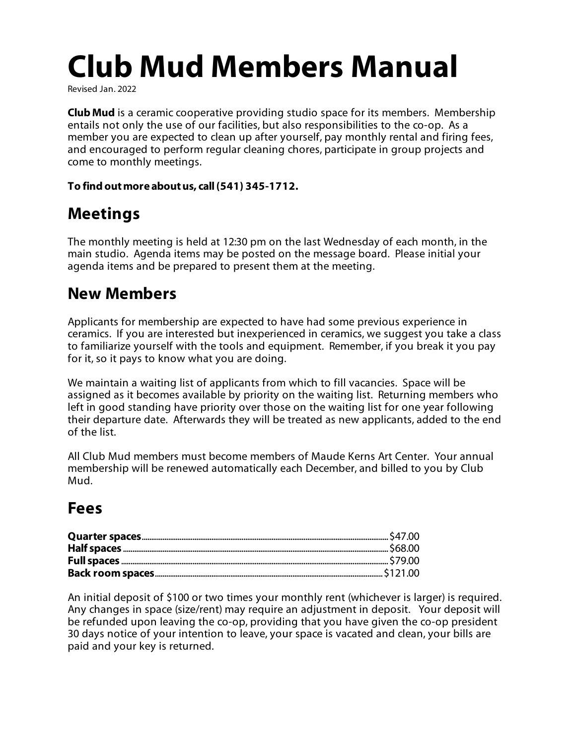# **Club Mud Members Manual**

Revised Jan. 2022

**Club Mud** is a ceramic cooperative providing studio space for its members. Membership entails not only the use of our facilities, but also responsibilities to the co-op. As a member you are expected to clean up after yourself, pay monthly rental and firing fees, and encouraged to perform regular cleaning chores, participate in group projects and come to monthly meetings.

#### **To find outmore aboutus, call(541) 345-1712.**

### **Meetings**

The monthly meeting is held at 12:30 pm on the last Wednesday of each month, in the main studio. Agenda items may be posted on the message board. Please initial your agenda items and be prepared to present them at the meeting.

### **New Members**

Applicants for membership are expected to have had some previous experience in ceramics. If you are interested but inexperienced in ceramics, we suggest you take a class to familiarize yourself with the tools and equipment. Remember, if you break it you pay for it, so it pays to know what you are doing.

We maintain a waiting list of applicants from which to fill vacancies. Space will be assigned as it becomes available by priority on the waiting list. Returning members who left in good standing have priority over those on the waiting list for one year following their departure date. Afterwards they will be treated as new applicants, added to the end of the list.

All Club Mud members must become members of Maude Kerns Art Center. Your annual membership will be renewed automatically each December, and billed to you by Club Mud.

### **Fees**

An initial deposit of \$100 or two times your monthly rent (whichever is larger) is required. Any changes in space (size/rent) may require an adjustment in deposit. Your deposit will be refunded upon leaving the co-op, providing that you have given the co-op president 30 days notice of your intention to leave, your space is vacated and clean, your bills are paid and your key is returned.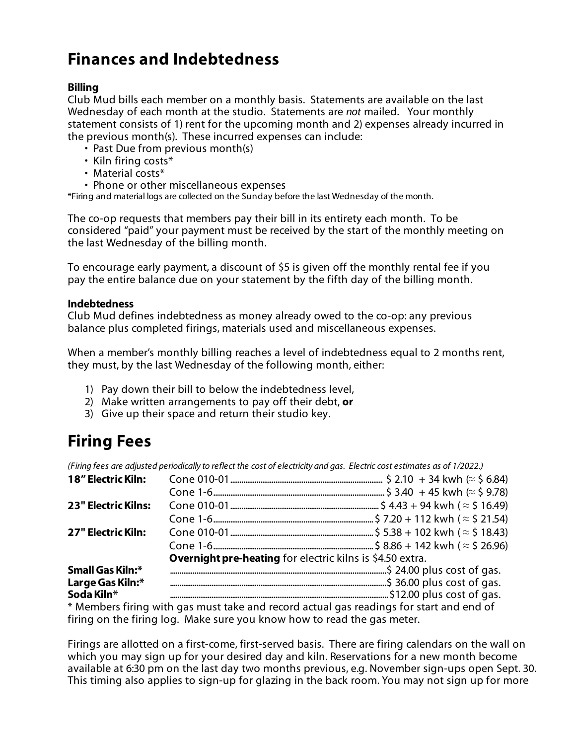### **Finances and Indebtedness**

#### **Billing**

Club Mud bills each member on a monthly basis. Statements are available on the last Wednesday of each month at the studio. Statements are *not* mailed. Your monthly statement consists of 1) rent for the upcoming month and 2) expenses already incurred in the previous month(s). These incurred expenses can include:

- Past Due from previous month(s)
- Kiln firing costs\*
- Material costs\*
- Phone or other miscellaneous expenses

\*Firing and material logs are collected on the Sunday before the last Wednesday of the month.

The co-op requests that members pay their bill in its entirety each month. To be considered "paid" your payment must be received by the start of the monthly meeting on the last Wednesday of the billing month.

To encourage early payment, a discount of \$5 is given off the monthly rental fee if you pay the entire balance due on your statement by the fifth day of the billing month.

#### **Indebtedness**

Club Mud defines indebtedness as money already owed to the co-op: any previous balance plus completed firings, materials used and miscellaneous expenses.

When a member's monthly billing reaches a level of indebtedness equal to 2 months rent, they must, by the last Wednesday of the following month, either:

- 1) Pay down their bill to below the indebtedness level,
- 2) Make written arrangements to pay off their debt, **or**
- 3) Give up their space and return their studio key.

### **Firing Fees**

(Firing fees are adjusted periodically to reflect the cost of electricity and gas. Electric cost estimates as of 1/2022.)

| 18" Electric Kiln:         |                                                                  |  |
|----------------------------|------------------------------------------------------------------|--|
|                            |                                                                  |  |
| <b>23" Electric Kilns:</b> |                                                                  |  |
|                            |                                                                  |  |
| 27" Electric Kiln:         |                                                                  |  |
|                            |                                                                  |  |
|                            | <b>Overnight pre-heating</b> for electric kilns is \$4.50 extra. |  |
| Small Gas Kiln:*           |                                                                  |  |
| Large Gas Kiln:*           |                                                                  |  |
|                            | Soda Kiln* <b>Example 20</b> 200 2015 cost of gas.               |  |

\* Members firing with gas must take and record actual gas readings for start and end of firing on the firing log. Make sure you know how to read the gas meter.

Firings are allotted on a first-come, first-served basis. There are firing calendars on the wall on which you may sign up for your desired day and kiln. Reservations for a new month become available at 6:30 pm on the last day two months previous, e.g. November sign-ups open Sept. 30. This timing also applies to sign-up for glazing in the back room. You may not sign up for more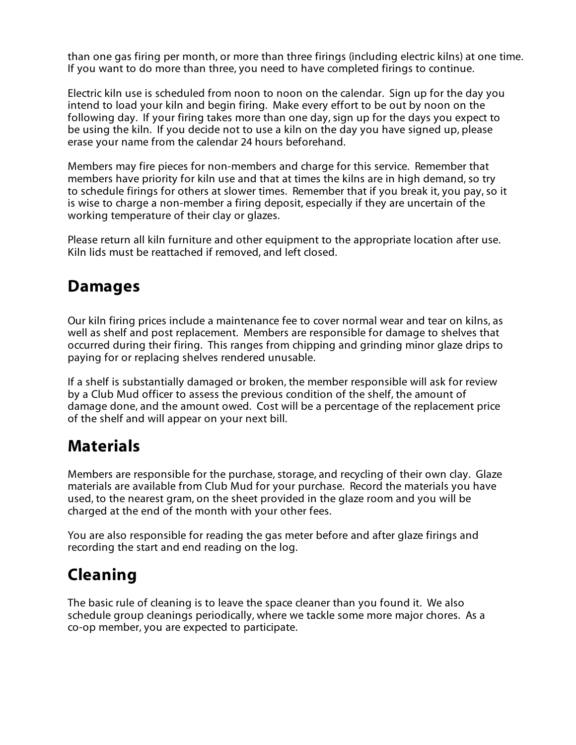than one gas firing per month, or more than three firings (including electric kilns) at one time. If you want to do more than three, you need to have completed firings to continue.

Electric kiln use is scheduled from noon to noon on the calendar. Sign up for the day you intend to load your kiln and begin firing. Make every effort to be out by noon on the following day. If your firing takes more than one day, sign up for the days you expect to be using the kiln. If you decide not to use a kiln on the day you have signed up, please erase your name from the calendar 24 hours beforehand.

Members may fire pieces for non-members and charge for this service. Remember that members have priority for kiln use and that at times the kilns are in high demand, so try to schedule firings for others at slower times. Remember that if you break it, you pay, so it is wise to charge a non-member a firing deposit, especially if they are uncertain of the working temperature of their clay or glazes.

Please return all kiln furniture and other equipment to the appropriate location after use. Kiln lids must be reattached if removed, and left closed.

### **Damages**

Our kiln firing prices include a maintenance fee to cover normal wear and tear on kilns, as well as shelf and post replacement. Members are responsible for damage to shelves that occurred during their firing. This ranges from chipping and grinding minor glaze drips to paying for or replacing shelves rendered unusable.

If a shelf is substantially damaged or broken, the member responsible will ask for review by a Club Mud officer to assess the previous condition of the shelf, the amount of damage done, and the amount owed. Cost will be a percentage of the replacement price of the shelf and will appear on your next bill.

### **Materials**

Members are responsible for the purchase, storage, and recycling of their own clay. Glaze materials are available from Club Mud for your purchase. Record the materials you have used, to the nearest gram, on the sheet provided in the glaze room and you will be charged at the end of the month with your other fees.

You are also responsible for reading the gas meter before and after glaze firings and recording the start and end reading on the log.

### **Cleaning**

The basic rule of cleaning is to leave the space cleaner than you found it. We also schedule group cleanings periodically, where we tackle some more major chores. As a co-op member, you are expected to participate.